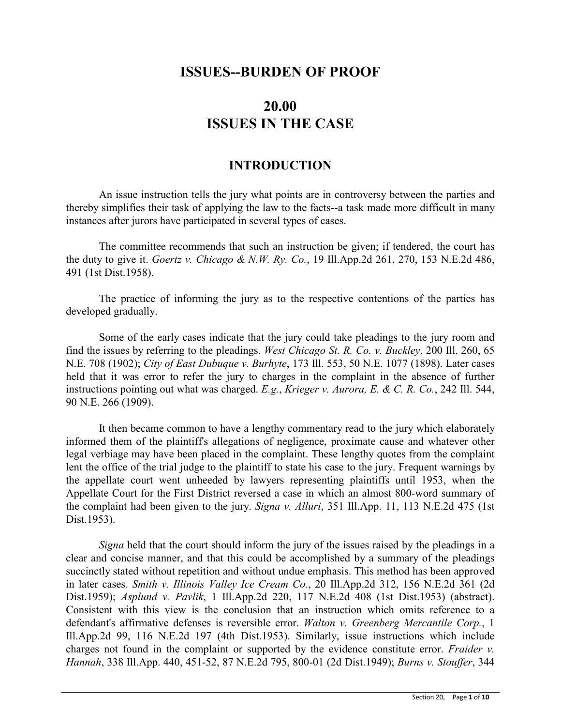## **ISSUES--BURDEN OF PROOF**

# **20.00 ISSUES IN THE CASE**

## **INTRODUCTION**

An issue instruction tells the jury what points are in controversy between the parties and thereby simplifies their task of applying the law to the facts--a task made more difficult in many instances after jurors have participated in several types of cases.

The committee recommends that such an instruction be given; if tendered, the court has the duty to give it. *Goertz v. Chicago & N.W. Ry. Co.*, 19 Ill.App.2d 261, 270, 153 N.E.2d 486, 491 (1st Dist.1958).

The practice of informing the jury as to the respective contentions of the parties has developed gradually.

Some of the early cases indicate that the jury could take pleadings to the jury room and find the issues by referring to the pleadings. *West Chicago St. R. Co. v. Buckley*, 200 Ill. 260, 65 N.E. 708 (1902); *City of East Dubuque v. Burhyte*, 173 Ill. 553, 50 N.E. 1077 (1898). Later cases held that it was error to refer the jury to charges in the complaint in the absence of further instructions pointing out what was charged. *E.g.*, *Krieger v. Aurora, E. & C. R. Co.*, 242 Ill. 544, 90 N.E. 266 (1909).

It then became common to have a lengthy commentary read to the jury which elaborately informed them of the plaintiff's allegations of negligence, proximate cause and whatever other legal verbiage may have been placed in the complaint. These lengthy quotes from the complaint lent the office of the trial judge to the plaintiff to state his case to the jury. Frequent warnings by the appellate court went unheeded by lawyers representing plaintiffs until 1953, when the Appellate Court for the First District reversed a case in which an almost 800-word summary of the complaint had been given to the jury. *Signa v. Alluri*, 351 Ill.App. 11, 113 N.E.2d 475 (1st Dist.1953).

*Signa* held that the court should inform the jury of the issues raised by the pleadings in a clear and concise manner, and that this could be accomplished by a summary of the pleadings succinctly stated without repetition and without undue emphasis. This method has been approved in later cases. *Smith v. Illinois Valley Ice Cream Co.*, 20 Ill.App.2d 312, 156 N.E.2d 361 (2d Dist.1959); *Asplund v. Pavlik*, 1 Ill.App.2d 220, 117 N.E.2d 408 (1st Dist.1953) (abstract). Consistent with this view is the conclusion that an instruction which omits reference to a defendant's affirmative defenses is reversible error. *Walton v. Greenberg Mercantile Corp.*, 1 Ill.App.2d 99, 116 N.E.2d 197 (4th Dist.1953). Similarly, issue instructions which include charges not found in the complaint or supported by the evidence constitute error. *Fraider v. Hannah*, 338 Ill.App. 440, 451-52, 87 N.E.2d 795, 800-01 (2d Dist.1949); *Burns v. Stouffer*, 344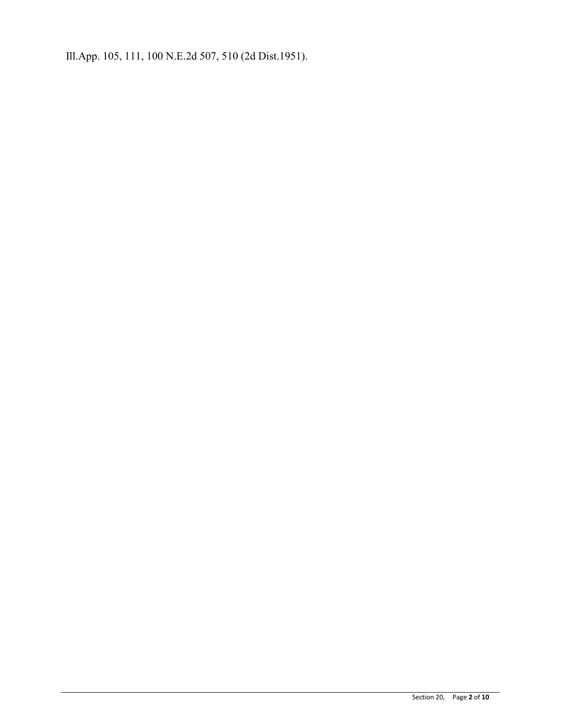Ill.App. 105, 111, 100 N.E.2d 507, 510 (2d Dist.1951).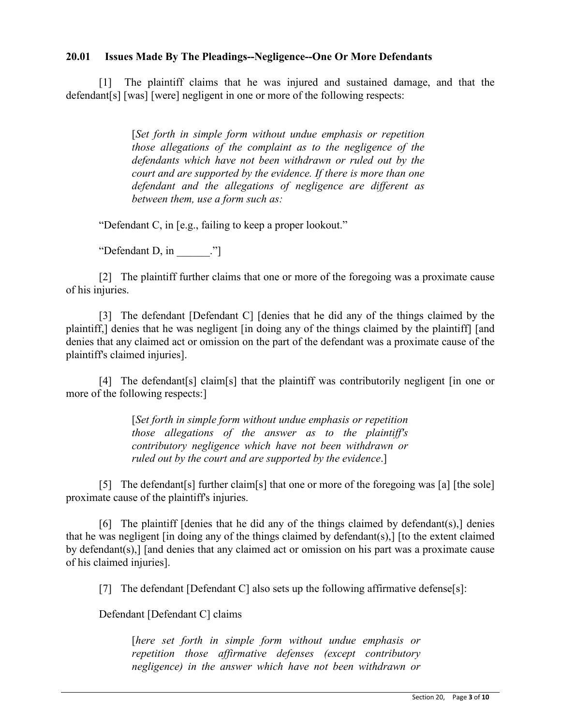### **20.01 Issues Made By The Pleadings--Negligence--One Or More Defendants**

[1] The plaintiff claims that he was injured and sustained damage, and that the defendant[s] [was] [were] negligent in one or more of the following respects:

> [*Set forth in simple form without undue emphasis or repetition those allegations of the complaint as to the negligence of the defendants which have not been withdrawn or ruled out by the court and are supported by the evidence. If there is more than one defendant and the allegations of negligence are different as between them, use a form such as:*

"Defendant C, in [e.g., failing to keep a proper lookout."

"Defendant D, in  $\dddot{N}$ 

[2] The plaintiff further claims that one or more of the foregoing was a proximate cause of his injuries.

[3] The defendant [Defendant C] [denies that he did any of the things claimed by the plaintiff,] denies that he was negligent [in doing any of the things claimed by the plaintiff] [and denies that any claimed act or omission on the part of the defendant was a proximate cause of the plaintiff's claimed injuries].

[4] The defendant[s] claim[s] that the plaintiff was contributorily negligent [in one or more of the following respects:]

> [*Set forth in simple form without undue emphasis or repetition those allegations of the answer as to the plaintiff's contributory negligence which have not been withdrawn or ruled out by the court and are supported by the evidence*.]

[5] The defendant [5] further claim [5] that one or more of the foregoing was [a] [the sole] proximate cause of the plaintiff's injuries.

[6] The plaintiff [denies that he did any of the things claimed by defendant(s),] denies that he was negligent [in doing any of the things claimed by defendant(s),] [to the extent claimed by defendant(s),] [and denies that any claimed act or omission on his part was a proximate cause of his claimed injuries].

[7] The defendant [Defendant C] also sets up the following affirmative defense[s]:

Defendant [Defendant C] claims

[*here set forth in simple form without undue emphasis or repetition those affirmative defenses (except contributory negligence) in the answer which have not been withdrawn or*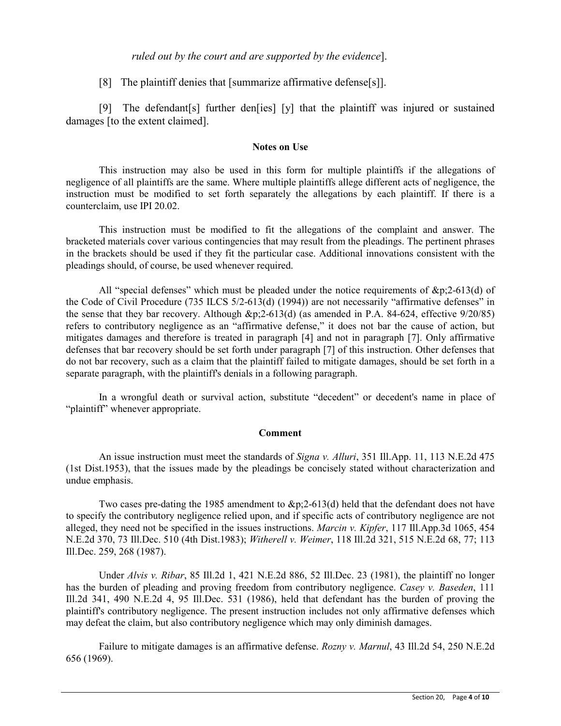#### *ruled out by the court and are supported by the evidence*].

[8] The plaintiff denies that [summarize affirmative defense[s]].

[9] The defendant[s] further den[ies] [y] that the plaintiff was injured or sustained damages [to the extent claimed].

#### **Notes on Use**

This instruction may also be used in this form for multiple plaintiffs if the allegations of negligence of all plaintiffs are the same. Where multiple plaintiffs allege different acts of negligence, the instruction must be modified to set forth separately the allegations by each plaintiff. If there is a counterclaim, use IPI 20.02.

This instruction must be modified to fit the allegations of the complaint and answer. The bracketed materials cover various contingencies that may result from the pleadings. The pertinent phrases in the brackets should be used if they fit the particular case. Additional innovations consistent with the pleadings should, of course, be used whenever required.

All "special defenses" which must be pleaded under the notice requirements of  $\&p2-613(d)$  of the Code of Civil Procedure (735 ILCS 5/2-613(d) (1994)) are not necessarily "affirmative defenses" in the sense that they bar recovery. Although &p;2-613(d) (as amended in P.A. 84-624, effective 9/20/85) refers to contributory negligence as an "affirmative defense," it does not bar the cause of action, but mitigates damages and therefore is treated in paragraph [4] and not in paragraph [7]. Only affirmative defenses that bar recovery should be set forth under paragraph [7] of this instruction. Other defenses that do not bar recovery, such as a claim that the plaintiff failed to mitigate damages, should be set forth in a separate paragraph, with the plaintiff's denials in a following paragraph.

In a wrongful death or survival action, substitute "decedent" or decedent's name in place of "plaintiff" whenever appropriate.

#### **Comment**

An issue instruction must meet the standards of *Signa v. Alluri*, 351 Ill.App. 11, 113 N.E.2d 475 (1st Dist.1953), that the issues made by the pleadings be concisely stated without characterization and undue emphasis.

Two cases pre-dating the 1985 amendment to &p;2-613(d) held that the defendant does not have to specify the contributory negligence relied upon, and if specific acts of contributory negligence are not alleged, they need not be specified in the issues instructions. *Marcin v. Kipfer*, 117 Ill.App.3d 1065, 454 N.E.2d 370, 73 Ill.Dec. 510 (4th Dist.1983); *Witherell v. Weimer*, 118 Ill.2d 321, 515 N.E.2d 68, 77; 113 Ill.Dec. 259, 268 (1987).

Under *Alvis v. Ribar*, 85 Ill.2d 1, 421 N.E.2d 886, 52 Ill.Dec. 23 (1981), the plaintiff no longer has the burden of pleading and proving freedom from contributory negligence. *Casey v. Baseden*, 111 Ill.2d 341, 490 N.E.2d 4, 95 Ill.Dec. 531 (1986), held that defendant has the burden of proving the plaintiff's contributory negligence. The present instruction includes not only affirmative defenses which may defeat the claim, but also contributory negligence which may only diminish damages.

Failure to mitigate damages is an affirmative defense. *Rozny v. Marnul*, 43 Ill.2d 54, 250 N.E.2d 656 (1969).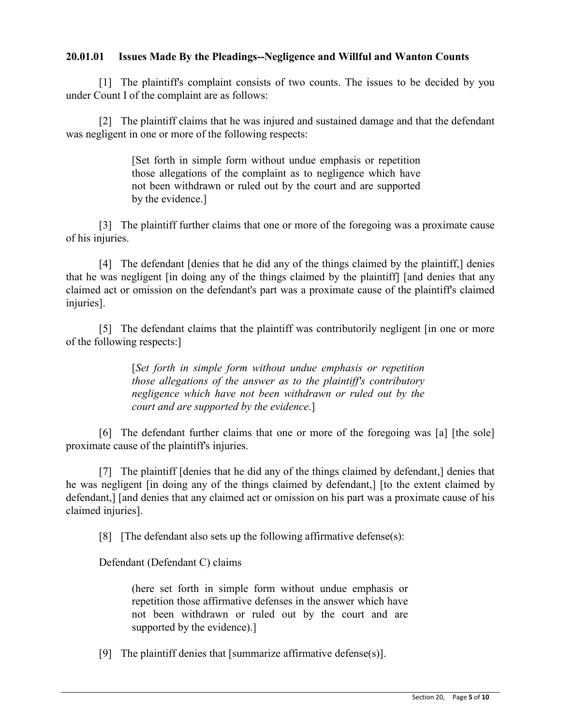## **20.01.01 Issues Made By the Pleadings--Negligence and Willful and Wanton Counts**

[1] The plaintiff's complaint consists of two counts. The issues to be decided by you under Count I of the complaint are as follows:

[2] The plaintiff claims that he was injured and sustained damage and that the defendant was negligent in one or more of the following respects:

> [Set forth in simple form without undue emphasis or repetition those allegations of the complaint as to negligence which have not been withdrawn or ruled out by the court and are supported by the evidence.]

[3] The plaintiff further claims that one or more of the foregoing was a proximate cause of his injuries.

[4] The defendant [denies that he did any of the things claimed by the plaintiff,] denies that he was negligent [in doing any of the things claimed by the plaintiff] [and denies that any claimed act or omission on the defendant's part was a proximate cause of the plaintiff's claimed injuries].

[5] The defendant claims that the plaintiff was contributorily negligent [in one or more of the following respects:]

> [*Set forth in simple form without undue emphasis or repetition those allegations of the answer as to the plaintiff's contributory negligence which have not been withdrawn or ruled out by the court and are supported by the evidence*.]

[6] The defendant further claims that one or more of the foregoing was [a] [the sole] proximate cause of the plaintiff's injuries.

[7] The plaintiff [denies that he did any of the things claimed by defendant,] denies that he was negligent [in doing any of the things claimed by defendant,] [to the extent claimed by defendant,] [and denies that any claimed act or omission on his part was a proximate cause of his claimed injuries].

[8] [The defendant also sets up the following affirmative defense(s):

Defendant (Defendant C) claims

(here set forth in simple form without undue emphasis or repetition those affirmative defenses in the answer which have not been withdrawn or ruled out by the court and are supported by the evidence).]

[9] The plaintiff denies that [summarize affirmative defense(s)].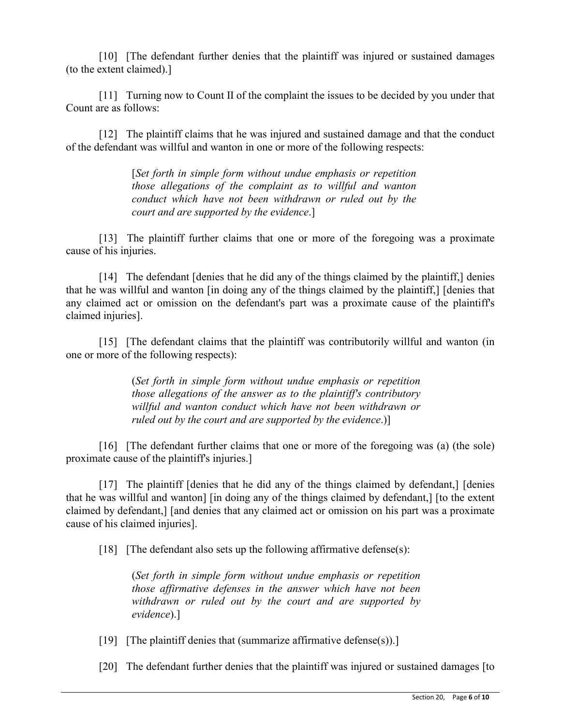[10] [The defendant further denies that the plaintiff was injured or sustained damages (to the extent claimed).]

[11] Turning now to Count II of the complaint the issues to be decided by you under that Count are as follows:

[12] The plaintiff claims that he was injured and sustained damage and that the conduct of the defendant was willful and wanton in one or more of the following respects:

> [*Set forth in simple form without undue emphasis or repetition those allegations of the complaint as to willful and wanton conduct which have not been withdrawn or ruled out by the court and are supported by the evidence*.]

[13] The plaintiff further claims that one or more of the foregoing was a proximate cause of his injuries.

[14] The defendant *[denies that he did any of the things claimed by the plaintiff,] denies* that he was willful and wanton [in doing any of the things claimed by the plaintiff,] [denies that any claimed act or omission on the defendant's part was a proximate cause of the plaintiff's claimed injuries].

[15] [The defendant claims that the plaintiff was contributorily willful and wanton (in one or more of the following respects):

> (*Set forth in simple form without undue emphasis or repetition those allegations of the answer as to the plaintiff's contributory willful and wanton conduct which have not been withdrawn or ruled out by the court and are supported by the evidence*.)]

[16] [The defendant further claims that one or more of the foregoing was (a) (the sole) proximate cause of the plaintiff's injuries.]

[17] The plaintiff [denies that he did any of the things claimed by defendant,] [denies that he was willful and wanton] [in doing any of the things claimed by defendant,] [to the extent claimed by defendant,] [and denies that any claimed act or omission on his part was a proximate cause of his claimed injuries].

[18] [The defendant also sets up the following affirmative defense(s):

(*Set forth in simple form without undue emphasis or repetition those affirmative defenses in the answer which have not been withdrawn or ruled out by the court and are supported by evidence*).]

[19] [The plaintiff denies that (summarize affirmative defense(s)).]

[20] The defendant further denies that the plaintiff was injured or sustained damages [to]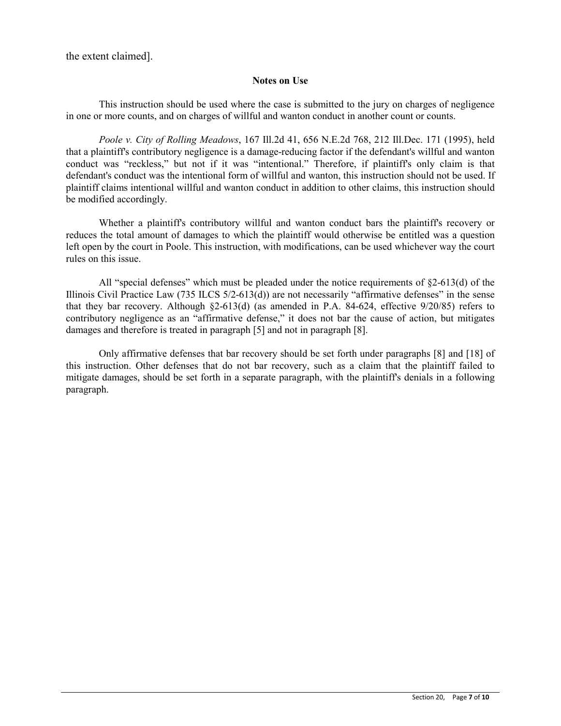the extent claimed].

#### **Notes on Use**

This instruction should be used where the case is submitted to the jury on charges of negligence in one or more counts, and on charges of willful and wanton conduct in another count or counts.

*Poole v. City of Rolling Meadows*, 167 Ill.2d 41, 656 N.E.2d 768, 212 Ill.Dec. 171 (1995), held that a plaintiff's contributory negligence is a damage-reducing factor if the defendant's willful and wanton conduct was "reckless," but not if it was "intentional." Therefore, if plaintiff's only claim is that defendant's conduct was the intentional form of willful and wanton, this instruction should not be used. If plaintiff claims intentional willful and wanton conduct in addition to other claims, this instruction should be modified accordingly.

Whether a plaintiff's contributory willful and wanton conduct bars the plaintiff's recovery or reduces the total amount of damages to which the plaintiff would otherwise be entitled was a question left open by the court in Poole. This instruction, with modifications, can be used whichever way the court rules on this issue.

All "special defenses" which must be pleaded under the notice requirements of §2-613(d) of the Illinois Civil Practice Law  $(735 \text{ ILCS } 5/2-613(d))$  are not necessarily "affirmative defenses" in the sense that they bar recovery. Although §2-613(d) (as amended in P.A. 84-624, effective 9/20/85) refers to contributory negligence as an "affirmative defense," it does not bar the cause of action, but mitigates damages and therefore is treated in paragraph [5] and not in paragraph [8].

Only affirmative defenses that bar recovery should be set forth under paragraphs [8] and [18] of this instruction. Other defenses that do not bar recovery, such as a claim that the plaintiff failed to mitigate damages, should be set forth in a separate paragraph, with the plaintiff's denials in a following paragraph.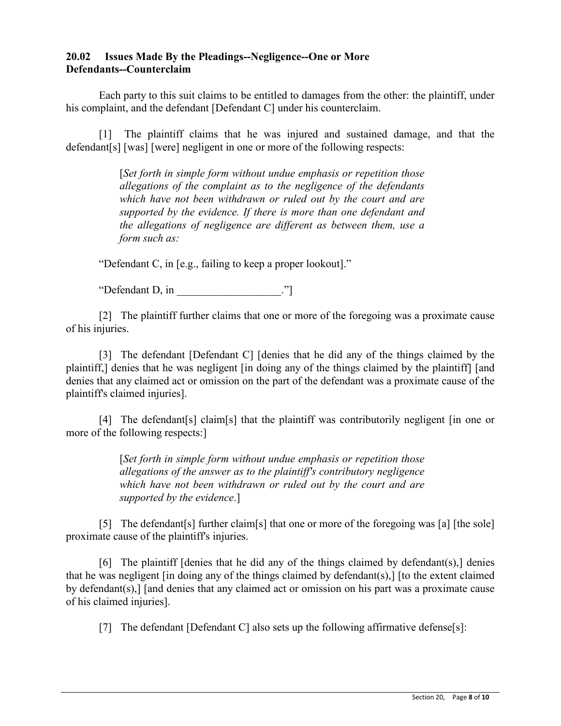## **20.02 Issues Made By the Pleadings--Negligence--One or More Defendants--Counterclaim**

Each party to this suit claims to be entitled to damages from the other: the plaintiff, under his complaint, and the defendant [Defendant C] under his counterclaim.

[1] The plaintiff claims that he was injured and sustained damage, and that the defendant[s] [was] [were] negligent in one or more of the following respects:

> [*Set forth in simple form without undue emphasis or repetition those allegations of the complaint as to the negligence of the defendants which have not been withdrawn or ruled out by the court and are supported by the evidence. If there is more than one defendant and the allegations of negligence are different as between them, use a form such as:*

"Defendant C, in [e.g., failing to keep a proper lookout]."

"Defendant D, in \_\_\_\_\_\_\_\_\_\_\_\_\_\_\_\_\_\_\_."]

[2] The plaintiff further claims that one or more of the foregoing was a proximate cause of his injuries.

[3] The defendant [Defendant C] [denies that he did any of the things claimed by the plaintiff,] denies that he was negligent [in doing any of the things claimed by the plaintiff] [and denies that any claimed act or omission on the part of the defendant was a proximate cause of the plaintiff's claimed injuries].

[4] The defendant[s] claim[s] that the plaintiff was contributorily negligent [in one or more of the following respects:]

> [*Set forth in simple form without undue emphasis or repetition those allegations of the answer as to the plaintiff's contributory negligence which have not been withdrawn or ruled out by the court and are supported by the evidence*.]

[5] The defendant [s] further claim [s] that one or more of the foregoing was [a] [the sole] proximate cause of the plaintiff's injuries.

[6] The plaintiff [denies that he did any of the things claimed by defendant(s),] denies that he was negligent [in doing any of the things claimed by defendant(s),] [to the extent claimed by defendant(s),] [and denies that any claimed act or omission on his part was a proximate cause of his claimed injuries].

[7] The defendant [Defendant C] also sets up the following affirmative defense[s]: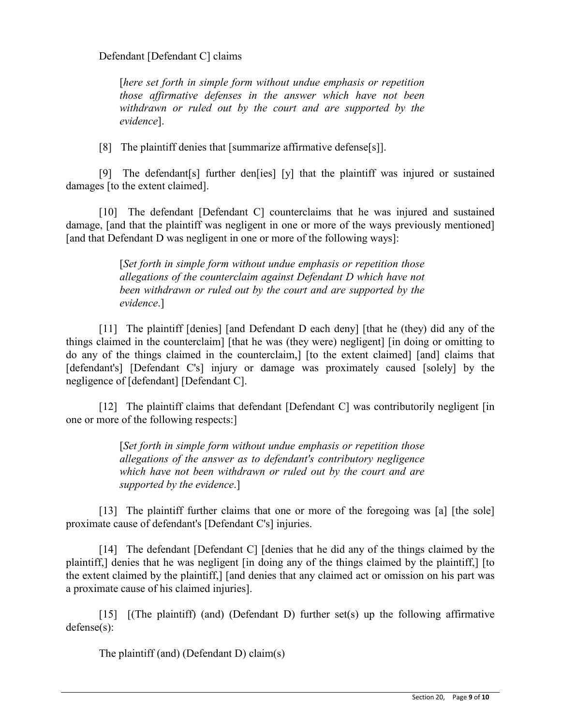Defendant [Defendant C] claims

[*here set forth in simple form without undue emphasis or repetition those affirmative defenses in the answer which have not been withdrawn or ruled out by the court and are supported by the evidence*].

[8] The plaintiff denies that [summarize affirmative defense[s]].

[9] The defendant[s] further den[ies] [y] that the plaintiff was injured or sustained damages [to the extent claimed].

[10] The defendant [Defendant C] counterclaims that he was injured and sustained damage, [and that the plaintiff was negligent in one or more of the ways previously mentioned] [and that Defendant D was negligent in one or more of the following ways]:

> [*Set forth in simple form without undue emphasis or repetition those allegations of the counterclaim against Defendant D which have not been withdrawn or ruled out by the court and are supported by the evidence*.]

[11] The plaintiff [denies] [and Defendant D each deny] [that he (they) did any of the things claimed in the counterclaim] [that he was (they were) negligent] [in doing or omitting to do any of the things claimed in the counterclaim,] [to the extent claimed] [and] claims that [defendant's] [Defendant C's] injury or damage was proximately caused [solely] by the negligence of [defendant] [Defendant C].

[12] The plaintiff claims that defendant [Defendant C] was contributorily negligent [in] one or more of the following respects:]

> [*Set forth in simple form without undue emphasis or repetition those allegations of the answer as to defendant's contributory negligence which have not been withdrawn or ruled out by the court and are supported by the evidence*.]

[13] The plaintiff further claims that one or more of the foregoing was [a] [the sole] proximate cause of defendant's [Defendant C's] injuries.

[14] The defendant [Defendant C] [denies that he did any of the things claimed by the plaintiff,] denies that he was negligent [in doing any of the things claimed by the plaintiff,] [to the extent claimed by the plaintiff,] [and denies that any claimed act or omission on his part was a proximate cause of his claimed injuries].

[15]  $[(The plaintiff) (and) (Defendant D) further set(s) up the following affirmative$ defense(s):

The plaintiff (and) (Defendant D) claim(s)